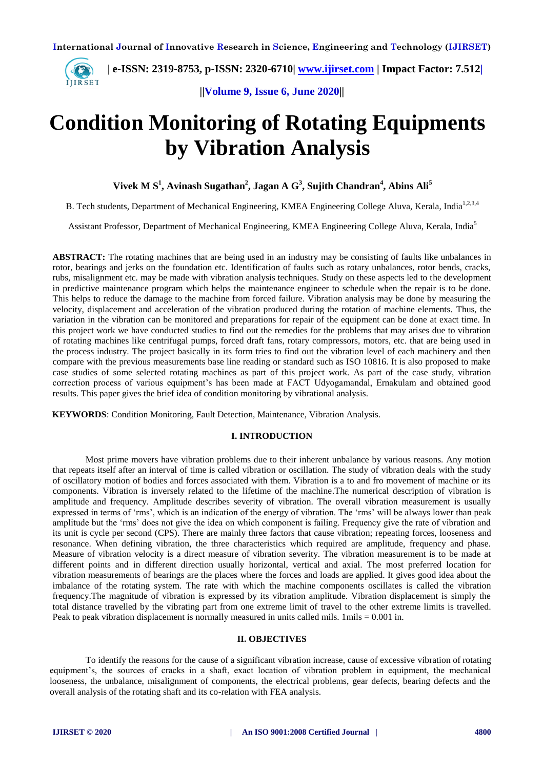

**||Volume 9, Issue 6, June 2020||** 

# **Condition Monitoring of Rotating Equipments by Vibration Analysis**

**Vivek M S<sup>1</sup> , Avinash Sugathan<sup>2</sup> , Jagan A G<sup>3</sup> , Sujith Chandran<sup>4</sup> , Abins Ali<sup>5</sup>**

B. Tech students, Department of Mechanical Engineering, KMEA Engineering College Aluva, Kerala, India<sup>1,2,3,4</sup>

Assistant Professor, Department of Mechanical Engineering, KMEA Engineering College Aluva, Kerala, India<sup>5</sup>

**ABSTRACT:** The rotating machines that are being used in an industry may be consisting of faults like unbalances in rotor, bearings and jerks on the foundation etc. Identification of faults such as rotary unbalances, rotor bends, cracks, rubs, misalignment etc. may be made with vibration analysis techniques. Study on these aspects led to the development in predictive maintenance program which helps the maintenance engineer to schedule when the repair is to be done. This helps to reduce the damage to the machine from forced failure. Vibration analysis may be done by measuring the velocity, displacement and acceleration of the vibration produced during the rotation of machine elements. Thus, the variation in the vibration can be monitored and preparations for repair of the equipment can be done at exact time. In this project work we have conducted studies to find out the remedies for the problems that may arises due to vibration of rotating machines like centrifugal pumps, forced draft fans, rotary compressors, motors, etc. that are being used in the process industry. The project basically in its form tries to find out the vibration level of each machinery and then compare with the previous measurements base line reading or standard such as ISO 10816. It is also proposed to make case studies of some selected rotating machines as part of this project work. As part of the case study, vibration correction process of various equipment's has been made at FACT Udyogamandal, Ernakulam and obtained good results. This paper gives the brief idea of condition monitoring by vibrational analysis.

**KEYWORDS**: Condition Monitoring, Fault Detection, Maintenance, Vibration Analysis.

#### **I. INTRODUCTION**

Most prime movers have vibration problems due to their inherent unbalance by various reasons. Any motion that repeats itself after an interval of time is called vibration or oscillation. The study of vibration deals with the study of oscillatory motion of bodies and forces associated with them. Vibration is a to and fro movement of machine or its components. Vibration is inversely related to the lifetime of the machine.The numerical description of vibration is amplitude and frequency. Amplitude describes severity of vibration. The overall vibration measurement is usually expressed in terms of 'rms', which is an indication of the energy of vibration. The 'rms' will be always lower than peak amplitude but the 'rms' does not give the idea on which component is failing. Frequency give the rate of vibration and its unit is cycle per second (CPS). There are mainly three factors that cause vibration; repeating forces, looseness and resonance. When defining vibration, the three characteristics which required are amplitude, frequency and phase. Measure of vibration velocity is a direct measure of vibration severity. The vibration measurement is to be made at different points and in different direction usually horizontal, vertical and axial. The most preferred location for vibration measurements of bearings are the places where the forces and loads are applied. It gives good idea about the imbalance of the rotating system. The rate with which the machine components oscillates is called the vibration frequency.The magnitude of vibration is expressed by its vibration amplitude. Vibration displacement is simply the total distance travelled by the vibrating part from one extreme limit of travel to the other extreme limits is travelled. Peak to peak vibration displacement is normally measured in units called mils.  $1 \text{ miles} = 0.001$  in.

#### **II. OBJECTIVES**

To identify the reasons for the cause of a significant vibration increase, cause of excessive vibration of rotating equipment's, the sources of cracks in a shaft, exact location of vibration problem in equipment, the mechanical looseness, the unbalance, misalignment of components, the electrical problems, gear defects, bearing defects and the overall analysis of the rotating shaft and its co-relation with FEA analysis.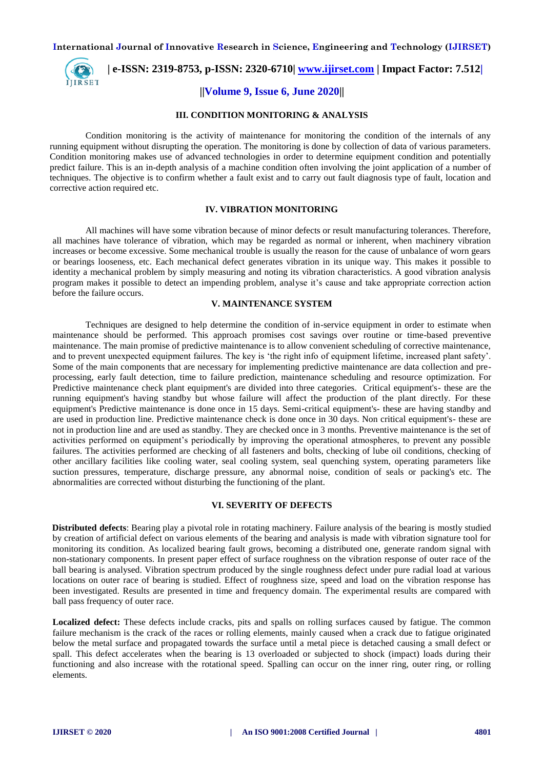

# **| e-ISSN: 2319-8753, p-ISSN: 2320-6710| [www.ijirset.com](http://www.ijirset.com/) | Impact Factor: 7.512|**

### **||Volume 9, Issue 6, June 2020||**

#### **III. CONDITION MONITORING & ANALYSIS**

Condition monitoring is the activity of maintenance for monitoring the condition of the internals of any running equipment without disrupting the operation. The monitoring is done by collection of data of various parameters. Condition monitoring makes use of advanced technologies in order to determine equipment condition and potentially predict failure. This is an in-depth analysis of a machine condition often involving the joint application of a number of techniques. The objective is to confirm whether a fault exist and to carry out fault diagnosis type of fault, location and corrective action required etc.

#### **IV. VIBRATION MONITORING**

All machines will have some vibration because of minor defects or result manufacturing tolerances. Therefore, all machines have tolerance of vibration, which may be regarded as normal or inherent, when machinery vibration increases or become excessive. Some mechanical trouble is usually the reason for the cause of unbalance of worn gears or bearings looseness, etc. Each mechanical defect generates vibration in its unique way. This makes it possible to identity a mechanical problem by simply measuring and noting its vibration characteristics. A good vibration analysis program makes it possible to detect an impending problem, analyse it's cause and take appropriate correction action before the failure occurs.

#### **V. MAINTENANCE SYSTEM**

Techniques are designed to help determine the condition of in-service equipment in order to estimate when maintenance should be performed. This approach promises cost savings over routine or time-based preventive maintenance. The main promise of predictive maintenance is to allow convenient scheduling of corrective maintenance, and to prevent unexpected equipment failures. The key is 'the right info of equipment lifetime, increased plant safety'. Some of the main components that are necessary for implementing predictive maintenance are data collection and preprocessing, early fault detection, time to failure prediction, maintenance scheduling and resource optimization. For Predictive maintenance check plant equipment's are divided into three categories. Critical equipment's- these are the running equipment's having standby but whose failure will affect the production of the plant directly. For these equipment's Predictive maintenance is done once in 15 days. Semi-critical equipment's- these are having standby and are used in production line. Predictive maintenance check is done once in 30 days. Non critical equipment's- these are not in production line and are used as standby. They are checked once in 3 months. Preventive maintenance is the set of activities performed on equipment's periodically by improving the operational atmospheres, to prevent any possible failures. The activities performed are checking of all fasteners and bolts, checking of lube oil conditions, checking of other ancillary facilities like cooling water, seal cooling system, seal quenching system, operating parameters like suction pressures, temperature, discharge pressure, any abnormal noise, condition of seals or packing's etc. The abnormalities are corrected without disturbing the functioning of the plant.

#### **VI. SEVERITY OF DEFECTS**

**Distributed defects**: Bearing play a pivotal role in rotating machinery. Failure analysis of the bearing is mostly studied by creation of artificial defect on various elements of the bearing and analysis is made with vibration signature tool for monitoring its condition. As localized bearing fault grows, becoming a distributed one, generate random signal with non-stationary components. In present paper effect of surface roughness on the vibration response of outer race of the ball bearing is analysed. Vibration spectrum produced by the single roughness defect under pure radial load at various locations on outer race of bearing is studied. Effect of roughness size, speed and load on the vibration response has been investigated. Results are presented in time and frequency domain. The experimental results are compared with ball pass frequency of outer race.

**Localized defect:** These defects include cracks, pits and spalls on rolling surfaces caused by fatigue. The common failure mechanism is the crack of the races or rolling elements, mainly caused when a crack due to fatigue originated below the metal surface and propagated towards the surface until a metal piece is detached causing a small defect or spall. This defect accelerates when the bearing is 13 overloaded or subjected to shock (impact) loads during their functioning and also increase with the rotational speed. Spalling can occur on the inner ring, outer ring, or rolling elements.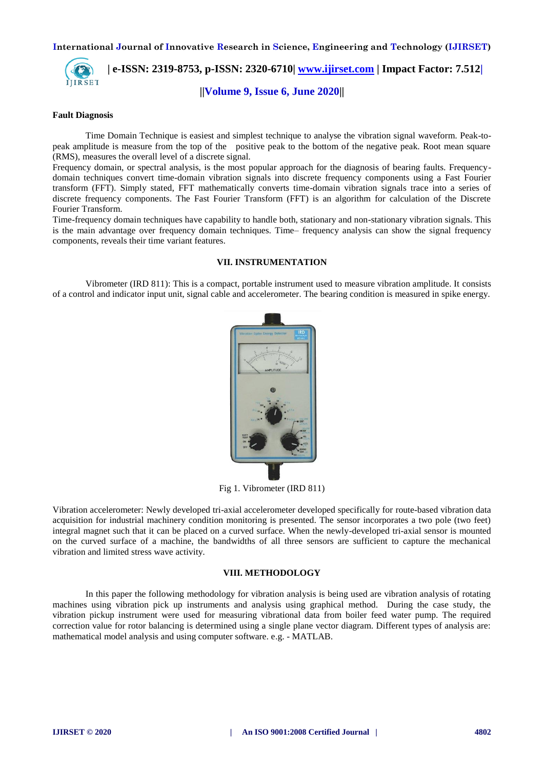

# **| e-ISSN: 2319-8753, p-ISSN: 2320-6710| [www.ijirset.com](http://www.ijirset.com/) | Impact Factor: 7.512|**

**||Volume 9, Issue 6, June 2020||** 

#### **Fault Diagnosis**

Time Domain Technique is easiest and simplest technique to analyse the vibration signal waveform. Peak-topeak amplitude is measure from the top of the positive peak to the bottom of the negative peak. Root mean square (RMS), measures the overall level of a discrete signal.

Frequency domain, or spectral analysis, is the most popular approach for the diagnosis of bearing faults. Frequencydomain techniques convert time-domain vibration signals into discrete frequency components using a Fast Fourier transform (FFT). Simply stated, FFT mathematically converts time-domain vibration signals trace into a series of discrete frequency components. The Fast Fourier Transform (FFT) is an algorithm for calculation of the Discrete Fourier Transform.

Time-frequency domain techniques have capability to handle both, stationary and non-stationary vibration signals. This is the main advantage over frequency domain techniques. Time– frequency analysis can show the signal frequency components, reveals their time variant features.

#### **VII. INSTRUMENTATION**

Vibrometer (IRD 811): This is a compact, portable instrument used to measure vibration amplitude. It consists of a control and indicator input unit, signal cable and accelerometer. The bearing condition is measured in spike energy.



Fig 1. Vibrometer (IRD 811)

Vibration accelerometer: Newly developed tri-axial accelerometer developed specifically for route-based vibration data acquisition for industrial machinery condition monitoring is presented. The sensor incorporates a two pole (two feet) integral magnet such that it can be placed on a curved surface. When the newly-developed tri-axial sensor is mounted on the curved surface of a machine, the bandwidths of all three sensors are sufficient to capture the mechanical vibration and limited stress wave activity.

#### **VIII. METHODOLOGY**

In this paper the following methodology for vibration analysis is being used are vibration analysis of rotating machines using vibration pick up instruments and analysis using graphical method. During the case study, the vibration pickup instrument were used for measuring vibrational data from boiler feed water pump. The required correction value for rotor balancing is determined using a single plane vector diagram. Different types of analysis are: mathematical model analysis and using computer software. e.g. - MATLAB.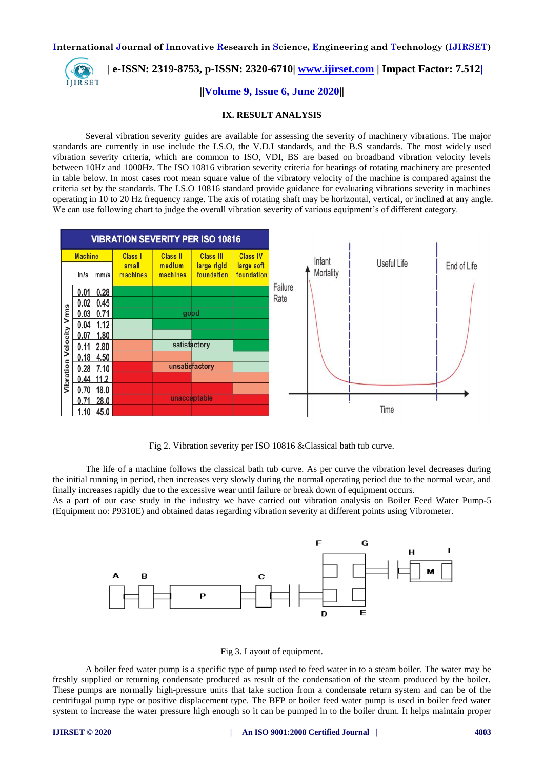

 **| e-ISSN: 2319-8753, p-ISSN: 2320-6710| [www.ijirset.com](http://www.ijirset.com/) | Impact Factor: 7.512|**

## **||Volume 9, Issue 6, June 2020||**

#### **IX. RESULT ANALYSIS**

Several vibration severity guides are available for assessing the severity of machinery vibrations. The major standards are currently in use include the I.S.O, the V.D.I standards, and the B.S standards. The most widely used vibration severity criteria, which are common to ISO, VDI, BS are based on broadband vibration velocity levels between 10Hz and 1000Hz. The ISO 10816 vibration severity criteria for bearings of rotating machinery are presented in table below. In most cases root mean square value of the vibratory velocity of the machine is compared against the criteria set by the standards. The I.S.O 10816 standard provide guidance for evaluating vibrations severity in machines operating in 10 to 20 Hz frequency range. The axis of rotating shaft may be horizontal, vertical, or inclined at any angle. We can use following chart to judge the overall vibration severity of various equipment's of different category.



Fig 2. Vibration severity per ISO 10816 &Classical bath tub curve.

The life of a machine follows the classical bath tub curve. As per curve the vibration level decreases during the initial running in period, then increases very slowly during the normal operating period due to the normal wear, and finally increases rapidly due to the excessive wear until failure or break down of equipment occurs.

As a part of our case study in the industry we have carried out vibration analysis on Boiler Feed Water Pump-5 (Equipment no: P9310E) and obtained datas regarding vibration severity at different points using Vibrometer.





A boiler feed water pump is a specific type of pump used to feed water in to a steam boiler. The water may be freshly supplied or returning condensate produced as result of the condensation of the steam produced by the boiler. These pumps are normally high-pressure units that take suction from a condensate return system and can be of the centrifugal pump type or positive displacement type. The BFP or boiler feed water pump is used in boiler feed water system to increase the water pressure high enough so it can be pumped in to the boiler drum. It helps maintain proper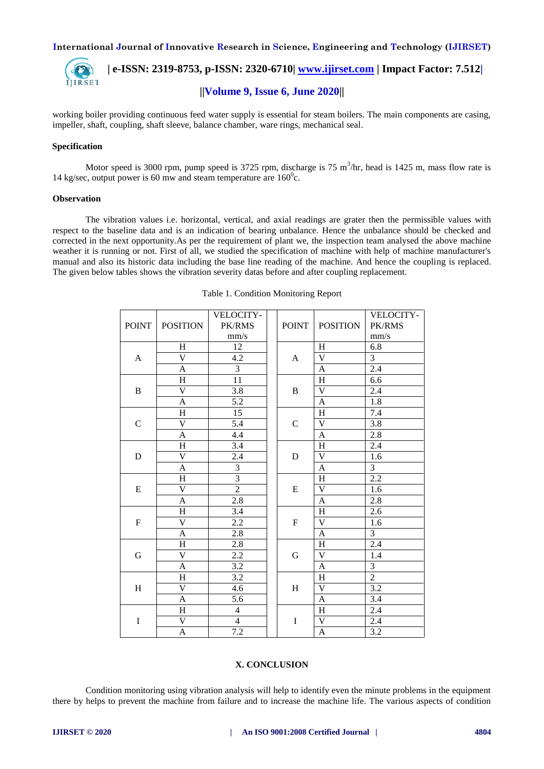

 **| e-ISSN: 2319-8753, p-ISSN: 2320-6710| [www.ijirset.com](http://www.ijirset.com/) | Impact Factor: 7.512| ||Volume 9, Issue 6, June 2020||** 

working boiler providing continuous feed water supply is essential for steam boilers. The main components are casing, impeller, shaft, coupling, shaft sleeve, balance chamber, ware rings, mechanical seal.

#### **Specification**

Motor speed is 3000 rpm, pump speed is 3725 rpm, discharge is 75  $m^3/nr$ , head is 1425 m, mass flow rate is 14 kg/sec, output power is 60 mw and steam temperature are  $160^{\circ}$ c.

#### **Observation**

The vibration values i.e. horizontal, vertical, and axial readings are grater then the permissible values with respect to the baseline data and is an indication of bearing unbalance. Hence the unbalance should be checked and corrected in the next opportunity.As per the requirement of plant we, the inspection team analysed the above machine weather it is running or not. First of all, we studied the specification of machine with help of machine manufacturer's manual and also its historic data including the base line reading of the machine. And hence the coupling is replaced. The given below tables shows the vibration severity datas before and after coupling replacement.

|                |                         | VELOCITY-      |             |                |                           | VELOCITY-      |
|----------------|-------------------------|----------------|-------------|----------------|---------------------------|----------------|
| <b>POINT</b>   | <b>POSITION</b>         | PK/RMS         |             | <b>POINT</b>   | <b>POSITION</b>           | PK/RMS         |
|                |                         | mm/s           |             |                |                           | mm/s           |
| $\mathbf{A}$   | H                       | 12             |             | A              | H                         | 6.8            |
|                | $\overline{\mathsf{V}}$ | 4.2            |             |                | $\overline{\mathsf{V}}$   | $\overline{3}$ |
|                | $\mathbf{A}$            | $\overline{3}$ |             |                | $\mathbf{A}$              | 2.4            |
| $\, {\bf B}$   | H                       | 11             |             | B              | H                         | 6.6            |
|                | $\overline{\mathsf{V}}$ | 3.8            |             |                | $\mathbf V$               | 2.4            |
|                | A                       | 5.2            |             |                | A                         | 1.8            |
| $\mathcal{C}$  | H                       | 15             |             | $\mathsf{C}$   | $\boldsymbol{\mathrm{H}}$ | 7.4            |
|                | V                       | 5.4            |             |                | $\mathbf V$               | 3.8            |
|                | $\overline{A}$          | 4.4            |             |                | $\mathbf{A}$              | 2.8            |
| $\mathbf D$    | H                       | 3.4            |             |                | H                         | 2.4            |
|                | $\bar{V}$               | 2.4            | $\mathbf D$ | $\mathbf V$    | 1.6                       |                |
|                | $\mathbf{A}$            | 3              |             | $\mathbf{A}$   | 3                         |                |
| ${\bf E}$      | H                       | $\overline{3}$ |             | E              | $\boldsymbol{\mathrm{H}}$ | $2.2\,$        |
|                | $\overline{V}$          | $\overline{2}$ |             |                | V                         | 1.6            |
|                | $\overline{A}$          | 2.8            |             | $\overline{A}$ | 2.8                       |                |
| $\overline{F}$ | H                       | 3.4            |             | $\overline{F}$ | H                         | 2.6            |
|                | $\overline{V}$          | 2.2            |             |                | $\overline{\mathsf{V}}$   | 1.6            |
|                | $\mathbf{A}$            | 2.8            |             | $\mathbf{A}$   | 3                         |                |
| G              | H                       | 2.8            |             |                | H                         | 2.4            |
|                | $\mathbf V$             | 2.2            | $\mathbf G$ | $\mathbf V$    | 1.4                       |                |
|                | A                       | 3.2            |             | A              | $\overline{3}$            |                |
| H              | H                       | 3.2            |             | H              | $\overline{2}$            |                |
|                | $\overline{\mathsf{V}}$ | 4.6            |             | H              | $\overline{\mathsf{V}}$   | 3.2            |
|                | $\overline{A}$          | 5.6            |             |                | $\mathbf{A}$              | 3.4            |
| $\bf I$        | H                       | $\overline{4}$ |             |                | H                         | 2.4            |
|                | $\overline{\mathsf{V}}$ | $\overline{4}$ |             | $\rm I$        | $\mathbf V$               | 2.4            |
|                | A                       | 7.2            |             |                | A                         | 3.2            |

Table 1. Condition Monitoring Report

#### **X. CONCLUSION**

Condition monitoring using vibration analysis will help to identify even the minute problems in the equipment there by helps to prevent the machine from failure and to increase the machine life. The various aspects of condition